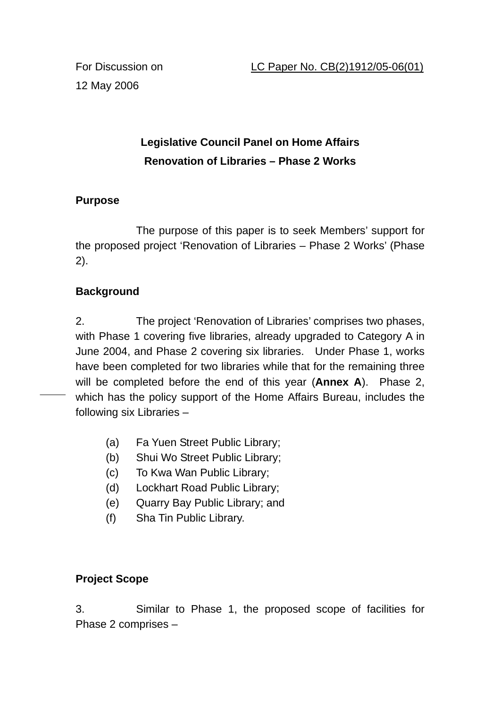12 May 2006

# **Legislative Council Panel on Home Affairs Renovation of Libraries – Phase 2 Works**

## **Purpose**

 The purpose of this paper is to seek Members' support for the proposed project 'Renovation of Libraries – Phase 2 Works' (Phase 2).

## **Background**

2. The project 'Renovation of Libraries' comprises two phases, with Phase 1 covering five libraries, already upgraded to Category A in June 2004, and Phase 2 covering six libraries. Under Phase 1, works have been completed for two libraries while that for the remaining three will be completed before the end of this year (**Annex A**). Phase 2, which has the policy support of the Home Affairs Bureau, includes the following six Libraries –

- (a) Fa Yuen Street Public Library;
- (b) Shui Wo Street Public Library;
- (c) To Kwa Wan Public Library;
- (d) Lockhart Road Public Library;
- (e) Quarry Bay Public Library; and
- (f) Sha Tin Public Library.

### **Project Scope**

3. Similar to Phase 1, the proposed scope of facilities for Phase 2 comprises –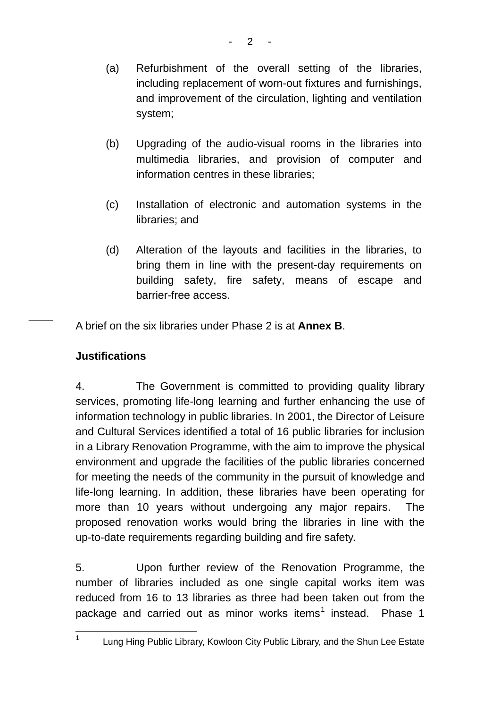- (a) Refurbishment of the overall setting of the libraries, including replacement of worn-out fixtures and furnishings, and improvement of the circulation, lighting and ventilation system;
- (b) Upgrading of the audio-visual rooms in the libraries into multimedia libraries, and provision of computer and information centres in these libraries;
- (c) Installation of electronic and automation systems in the libraries; and
- (d) Alteration of the layouts and facilities in the libraries, to bring them in line with the present-day requirements on building safety, fire safety, means of escape and barrier-free access.

A brief on the six libraries under Phase 2 is at **Annex B**.

### **Justifications**

4. The Government is committed to providing quality library services, promoting life-long learning and further enhancing the use of information technology in public libraries. In 2001, the Director of Leisure and Cultural Services identified a total of 16 public libraries for inclusion in a Library Renovation Programme, with the aim to improve the physical environment and upgrade the facilities of the public libraries concerned for meeting the needs of the community in the pursuit of knowledge and life-long learning. In addition, these libraries have been operating for more than 10 years without undergoing any major repairs. The proposed renovation works would bring the libraries in line with the up-to-date requirements regarding building and fire safety.

5. Upon further review of the Renovation Programme, the number of libraries included as one single capital works item was reduced from 16 to 13 libraries as three had been taken out from the package and carried out as minor works items<sup>1</sup> instead. Phase 1

 $\frac{1}{1}$ 

Lung Hing Public Library, Kowloon City Public Library, and the Shun Lee Estate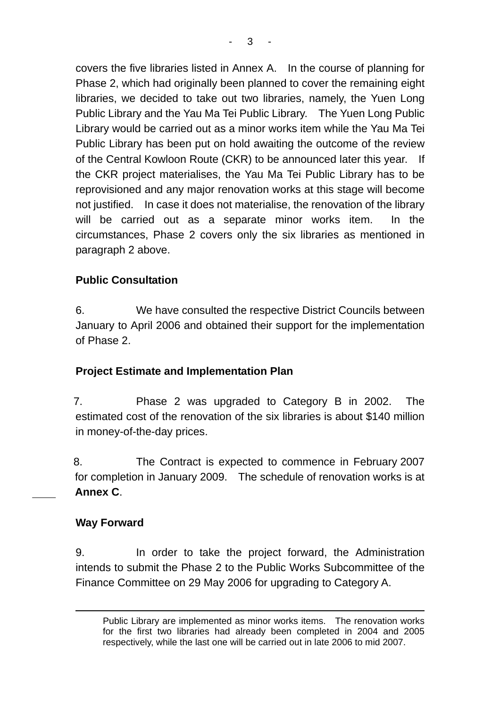covers the five libraries listed in Annex A. In the course of planning for Phase 2, which had originally been planned to cover the remaining eight libraries, we decided to take out two libraries, namely, the Yuen Long Public Library and the Yau Ma Tei Public Library. The Yuen Long Public Library would be carried out as a minor works item while the Yau Ma Tei Public Library has been put on hold awaiting the outcome of the review of the Central Kowloon Route (CKR) to be announced later this year. If the CKR project materialises, the Yau Ma Tei Public Library has to be reprovisioned and any major renovation works at this stage will become not justified. In case it does not materialise, the renovation of the library will be carried out as a separate minor works item. In the circumstances, Phase 2 covers only the six libraries as mentioned in paragraph 2 above.

## **Public Consultation**

6. We have consulted the respective District Councils between January to April 2006 and obtained their support for the implementation of Phase 2.

### **Project Estimate and Implementation Plan**

7. Phase 2 was upgraded to Category B in 2002. The estimated cost of the renovation of the six libraries is about \$140 million in money-of-the-day prices.

8. The Contract is expected to commence in February 2007 for completion in January 2009. The schedule of renovation works is at **Annex C**.

#### **Way Forward**

 $\overline{a}$ 

9. In order to take the project forward, the Administration intends to submit the Phase 2 to the Public Works Subcommittee of the Finance Committee on 29 May 2006 for upgrading to Category A.

Public Library are implemented as minor works items. The renovation works for the first two libraries had already been completed in 2004 and 2005 respectively, while the last one will be carried out in late 2006 to mid 2007.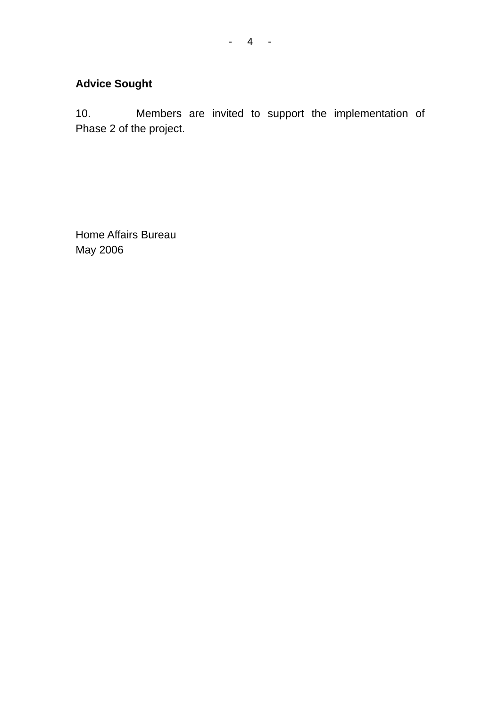# **Advice Sought**

10. Members are invited to support the implementation of Phase 2 of the project.

Home Affairs Bureau May 2006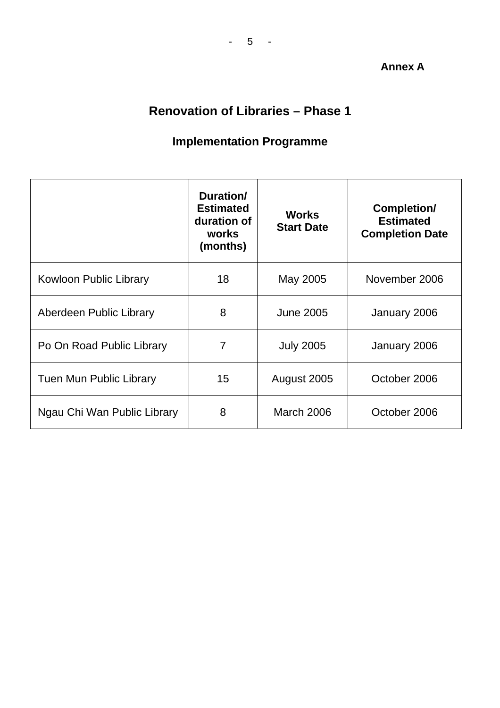#### **Annex A**

# **Renovation of Libraries – Phase 1**

# **Implementation Programme**

|                                | Duration/<br><b>Estimated</b><br>duration of<br>works<br>(months) | <b>Works</b><br><b>Start Date</b> | Completion/<br><b>Estimated</b><br><b>Completion Date</b> |
|--------------------------------|-------------------------------------------------------------------|-----------------------------------|-----------------------------------------------------------|
| Kowloon Public Library         | 18                                                                | May 2005                          | November 2006                                             |
| Aberdeen Public Library        | 8                                                                 | <b>June 2005</b><br>January 2006  |                                                           |
| Po On Road Public Library      | 7                                                                 | <b>July 2005</b>                  | January 2006                                              |
| <b>Tuen Mun Public Library</b> | 15                                                                | October 2006<br>August 2005       |                                                           |
| Ngau Chi Wan Public Library    | 8                                                                 | <b>March 2006</b><br>October 2006 |                                                           |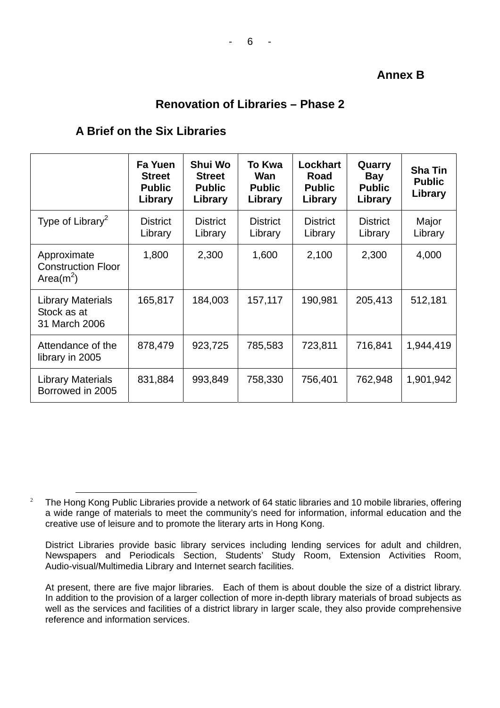#### **Annex B**

#### **Renovation of Libraries – Phase 2**

#### **A Brief on the Six Libraries**

|                                                           | Fa Yuen<br><b>Street</b><br><b>Public</b><br>Library | Shui Wo<br><b>Street</b><br><b>Public</b><br>Library | <b>To Kwa</b><br>Wan<br><b>Public</b><br>Library | <b>Lockhart</b><br>Road<br><b>Public</b><br>Library | Quarry<br><b>Bay</b><br><b>Public</b><br>Library | <b>Sha Tin</b><br><b>Public</b><br>Library |
|-----------------------------------------------------------|------------------------------------------------------|------------------------------------------------------|--------------------------------------------------|-----------------------------------------------------|--------------------------------------------------|--------------------------------------------|
| Type of Library <sup>2</sup>                              | <b>District</b><br>Library                           | <b>District</b><br>Library                           | <b>District</b><br>Library                       | <b>District</b><br>Library                          | <b>District</b><br>Library                       | Major<br>Library                           |
| Approximate<br><b>Construction Floor</b><br>Area( $m^2$ ) | 1,800                                                | 2,300                                                | 1,600                                            | 2,100                                               | 2,300                                            | 4,000                                      |
| <b>Library Materials</b><br>Stock as at<br>31 March 2006  | 165,817                                              | 184,003                                              | 157,117                                          | 190,981                                             | 205,413                                          | 512,181                                    |
| Attendance of the<br>library in 2005                      | 878,479                                              | 923,725                                              | 785,583                                          | 723,811                                             | 716,841                                          | 1,944,419                                  |
| <b>Library Materials</b><br>Borrowed in 2005              | 831,884                                              | 993,849                                              | 758,330                                          | 756,401                                             | 762,948                                          | 1,901,942                                  |

 <sup>2</sup> The Hong Kong Public Libraries provide a network of 64 static libraries and 10 mobile libraries, offering a wide range of materials to meet the community's need for information, informal education and the creative use of leisure and to promote the literary arts in Hong Kong.

District Libraries provide basic library services including lending services for adult and children, Newspapers and Periodicals Section, Students' Study Room, Extension Activities Room, Audio-visual/Multimedia Library and Internet search facilities.

At present, there are five major libraries. Each of them is about double the size of a district library. In addition to the provision of a larger collection of more in-depth library materials of broad subjects as well as the services and facilities of a district library in larger scale, they also provide comprehensive reference and information services.